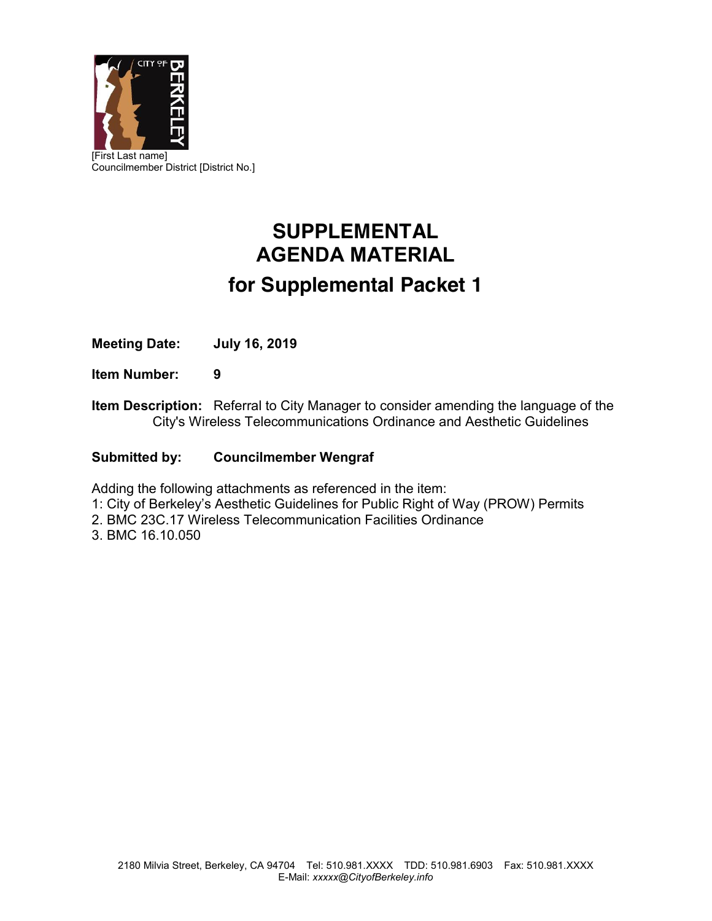

# **SUPPLEMENTAL AGENDA MATERIAL for Supplemental Packet 1**

**Meeting Date: July 16, 2019**

**Item Number: 9**

**Item Description:** Referral to City Manager to consider amending the language of the City's Wireless Telecommunications Ordinance and Aesthetic Guidelines

# **Submitted by: Councilmember Wengraf**

Adding the following attachments as referenced in the item:

- 1: City of Berkeley's Aesthetic Guidelines for Public Right of Way (PROW) Permits
- 2. BMC 23C.17 Wireless Telecommunication Facilities Ordinance

3. BMC 16.10.050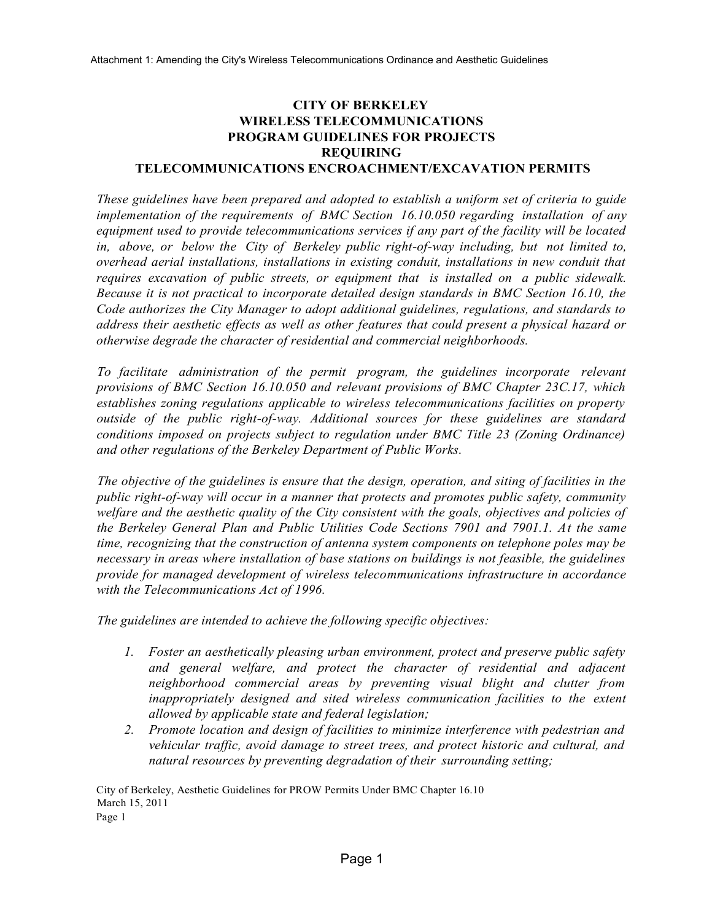# **CITY OF BERKELEY WIRELESS TELECOMMUNICATIONS PROGRAM GUIDELINES FOR PROJECTS REQUIRING**

## **TELECOMMUNICATIONS ENCROACHMENT/EXCAVATION PERMITS**

*These guidelines have been prepared and adopted to establish a uniform set of criteria to guide implementation of the requirements of BMC Section 16.10.050 regarding installation of any equipment used to provide telecommunications services if any part of the facility will be located in, above, or below the City of Berkeley public right-of-way including, but not limited to, overhead aerial installations, installations in existing conduit, installations in new conduit that requires excavation of public streets, or equipment that is installed on a public sidewalk. Because it is not practical to incorporate detailed design standards in BMC Section 16.10, the Code authorizes the City Manager to adopt additional guidelines, regulations, and standards to address their aesthetic effects as well as other features that could present a physical hazard or otherwise degrade the character of residential and commercial neighborhoods.*

*To facilitate administration of the permit program, the guidelines incorporate relevant provisions of BMC Section 16.10.050 and relevant provisions of BMC Chapter 23C.17, which establishes zoning regulations applicable to wireless telecommunications facilities on property outside of the public right-of-way. Additional sources for these guidelines are standard conditions imposed on projects subject to regulation under BMC Title 23 (Zoning Ordinance) and other regulations of the Berkeley Department of Public Works.*

*The objective of the guidelines is ensure that the design, operation, and siting of facilities in the public right-of-way will occur in a manner that protects and promotes public safety, community welfare and the aesthetic quality of the City consistent with the goals, objectives and policies of the Berkeley General Plan and Public Utilities Code Sections 7901 and 7901.1. At the same time, recognizing that the construction of antenna system components on telephone poles may be necessary in areas where installation of base stations on buildings is not feasible, the guidelines provide for managed development of wireless telecommunications infrastructure in accordance with the Telecommunications Act of 1996.*

*The guidelines are intended to achieve the following specific objectives:*

- *1. Foster an aesthetically pleasing urban environment, protect and preserve public safety and general welfare, and protect the character of residential and adjacent neighborhood commercial areas by preventing visual blight and clutter from inappropriately designed and sited wireless communication facilities to the extent allowed by applicable state and federal legislation;*
- *2. Promote location and design of facilities to minimize interference with pedestrian and vehicular traffic, avoid damage to street trees, and protect historic and cultural, and natural resources by preventing degradation of their surrounding setting;*

City of Berkeley, Aesthetic Guidelines for PROW Permits Under BMC Chapter 16.10 March 15, 2011 Page 1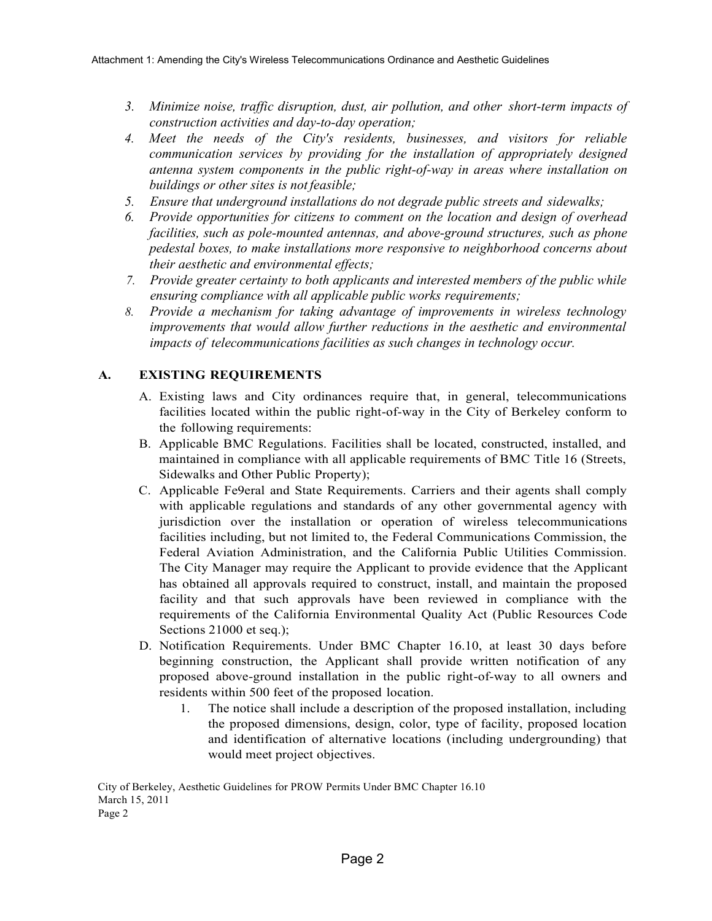- *3. Minimize noise, traffic disruption, dust, air pollution, and other short-term impacts of construction activities and day-to-day operation;*
- *4. Meet the needs of the City's residents, businesses, and visitors for reliable communication services by providing for the installation of appropriately designed antenna system components in the public right-of-way in areas where installation on buildings or other sites is not feasible;*
- *5. Ensure that underground installations do not degrade public streets and sidewalks;*
- *6. Provide opportunities for citizens to comment on the location and design of overhead facilities, such as pole-mounted antennas, and above-ground structures, such as phone pedestal boxes, to make installations more responsive to neighborhood concerns about their aesthetic and environmental effects;*
- *7. Provide greater certainty to both applicants and interested members of the public while ensuring compliance with all applicable public works requirements;*
- *8. Provide a mechanism for taking advantage of improvements in wireless technology improvements that would allow further reductions in the aesthetic and environmental impacts of telecommunications facilities as such changes in technology occur.*

## **A. EXISTING REQUIREMENTS**

- A. Existing laws and City ordinances require that, in general, telecommunications facilities located within the public right-of-way in the City of Berkeley conform to the following requirements:
- B. Applicable BMC Regulations. Facilities shall be located, constructed, installed, and maintained in compliance with all applicable requirements of BMC Title 16 (Streets, Sidewalks and Other Public Property);
- C. Applicable Fe9eral and State Requirements. Carriers and their agents shall comply with applicable regulations and standards of any other governmental agency with jurisdiction over the installation or operation of wireless telecommunications facilities including, but not limited to, the Federal Communications Commission, the Federal Aviation Administration, and the California Public Utilities Commission. The City Manager may require the Applicant to provide evidence that the Applicant has obtained all approvals required to construct, install, and maintain the proposed facility and that such approvals have been reviewed in compliance with the requirements of the California Environmental Quality Act (Public Resources Code Sections 21000 et seq.);
- D. Notification Requirements. Under BMC Chapter 16.10, at least 30 days before beginning construction, the Applicant shall provide written notification of any proposed above-ground installation in the public right-of-way to all owners and residents within 500 feet of the proposed location.
	- 1. The notice shall include a description of the proposed installation, including the proposed dimensions, design, color, type of facility, proposed location and identification of alternative locations (including undergrounding) that would meet project objectives.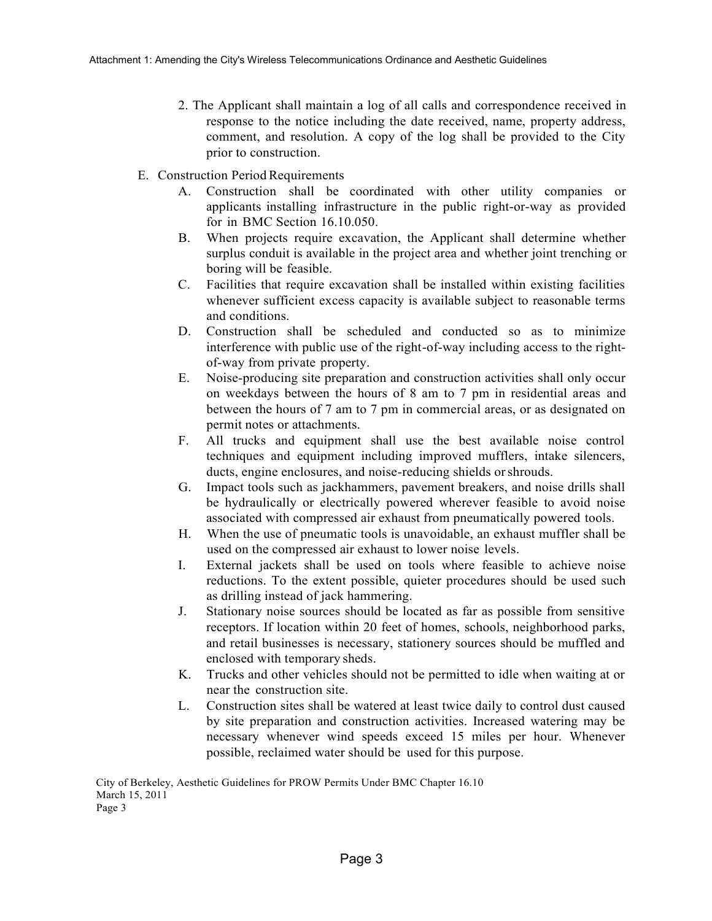- 2. The Applicant shall maintain a log of all calls and correspondence received in response to the notice including the date received, name, property address, comment, and resolution. A copy of the log shall be provided to the City prior to construction.
- E. Construction Period Requirements
	- A. Construction shall be coordinated with other utility companies or applicants installing infrastructure in the public right-or-way as provided for in BMC Section 16.10.050.
	- B. When projects require excavation, the Applicant shall determine whether surplus conduit is available in the project area and whether joint trenching or boring will be feasible.
	- C. Facilities that require excavation shall be installed within existing facilities whenever sufficient excess capacity is available subject to reasonable terms and conditions.
	- D. Construction shall be scheduled and conducted so as to minimize interference with public use of the right-of-way including access to the rightof-way from private property.
	- E. Noise-producing site preparation and construction activities shall only occur on weekdays between the hours of 8 am to 7 pm in residential areas and between the hours of 7 am to 7 pm in commercial areas, or as designated on permit notes or attachments.
	- F. All trucks and equipment shall use the best available noise control techniques and equipment including improved mufflers, intake silencers, ducts, engine enclosures, and noise-reducing shields orshrouds.
	- G. Impact tools such as jackhammers, pavement breakers, and noise drills shall be hydraulically or electrically powered wherever feasible to avoid noise associated with compressed air exhaust from pneumatically powered tools.
	- H. When the use of pneumatic tools is unavoidable, an exhaust muffler shall be used on the compressed air exhaust to lower noise levels.
	- I. External jackets shall be used on tools where feasible to achieve noise reductions. To the extent possible, quieter procedures should be used such as drilling instead of jack hammering.
	- J. Stationary noise sources should be located as far as possible from sensitive receptors. If location within 20 feet of homes, schools, neighborhood parks, and retail businesses is necessary, stationery sources should be muffled and enclosed with temporary sheds.
	- K. Trucks and other vehicles should not be permitted to idle when waiting at or near the construction site.
	- L. Construction sites shall be watered at least twice daily to control dust caused by site preparation and construction activities. Increased watering may be necessary whenever wind speeds exceed 15 miles per hour. Whenever possible, reclaimed water should be used for this purpose.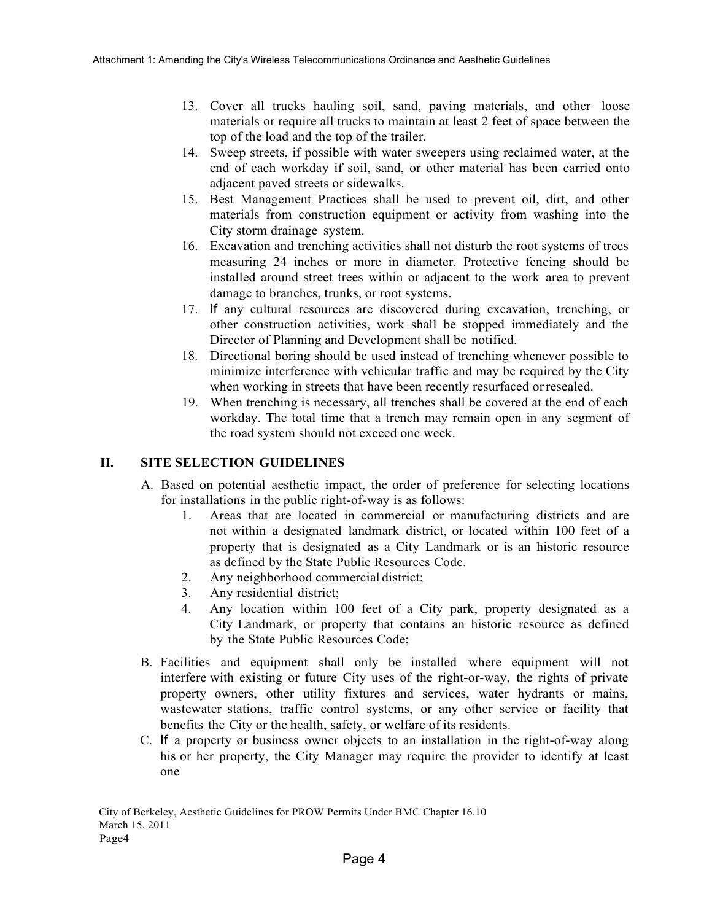- 13. Cover all trucks hauling soil, sand, paving materials, and other loose materials or require all trucks to maintain at least 2 feet of space between the top of the load and the top of the trailer.
- 14. Sweep streets, if possible with water sweepers using reclaimed water, at the end of each workday if soil, sand, or other material has been carried onto adjacent paved streets or sidewalks.
- 15. Best Management Practices shall be used to prevent oil, dirt, and other materials from construction equipment or activity from washing into the City storm drainage system.
- 16. Excavation and trenching activities shall not disturb the root systems of trees measuring 24 inches or more in diameter. Protective fencing should be installed around street trees within or adjacent to the work area to prevent damage to branches, trunks, or root systems.
- 17. If any cultural resources are discovered during excavation, trenching, or other construction activities, work shall be stopped immediately and the Director of Planning and Development shall be notified.
- 18. Directional boring should be used instead of trenching whenever possible to minimize interference with vehicular traffic and may be required by the City when working in streets that have been recently resurfaced orresealed.
- 19. When trenching is necessary, all trenches shall be covered at the end of each workday. The total time that a trench may remain open in any segment of the road system should not exceed one week.

## **II. SITE SELECTION GUIDELINES**

- A. Based on potential aesthetic impact, the order of preference for selecting locations for installations in the public right-of-way is as follows:
	- 1. Areas that are located in commercial or manufacturing districts and are not within a designated landmark district, or located within 100 feet of a property that is designated as a City Landmark or is an historic resource as defined by the State Public Resources Code.
	- 2. Any neighborhood commercial district;
	- 3. Any residential district;
	- 4. Any location within 100 feet of a City park, property designated as a City Landmark, or property that contains an historic resource as defined by the State Public Resources Code;
- B. Facilities and equipment shall only be installed where equipment will not interfere with existing or future City uses of the right-or-way, the rights of private property owners, other utility fixtures and services, water hydrants or mains, wastewater stations, traffic control systems, or any other service or facility that benefits the City or the health, safety, or welfare of its residents.
- C. If a property or business owner objects to an installation in the right-of-way along his or her property, the City Manager may require the provider to identify at least one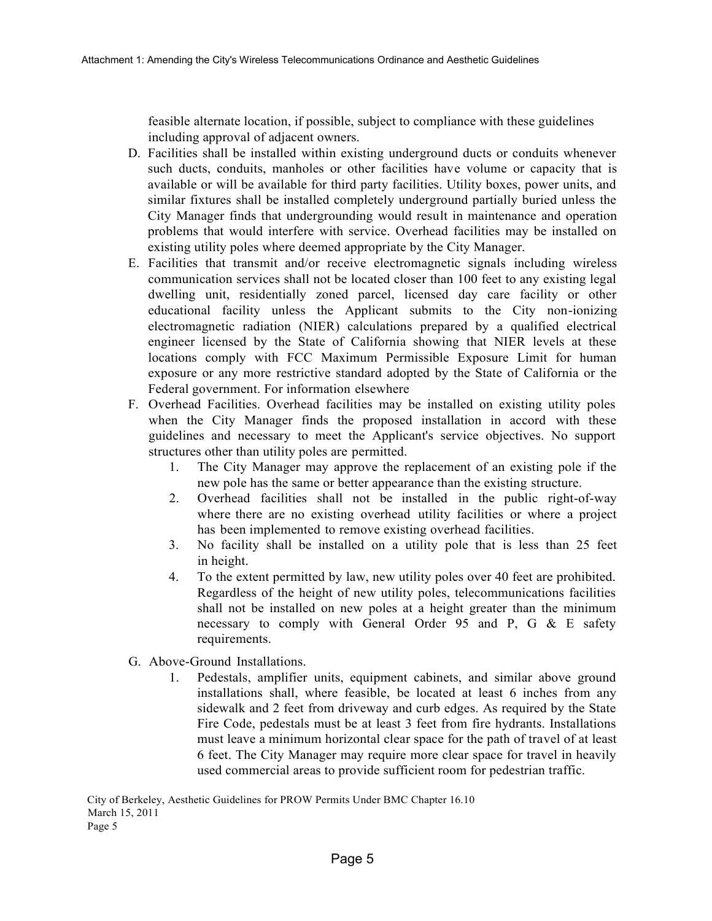feasible alternate location, if possible, subject to compliance with these guidelines including approval of adjacent owners.

- D. Facilities shall be installed within existing underground ducts or conduits whenever such ducts, conduits, manholes or other facilities have volume or capacity that is available or will be available for third party facilities. Utility boxes, power units, and similar fixtures shall be installed completely underground partially buried unless the City Manager finds that undergrounding would result in maintenance and operation problems that would interfere with service. Overhead facilities may be installed on existing utility poles where deemed appropriate by the City Manager.
- E. Facilities that transmit and/or receive electromagnetic signals including wireless communication services shall not be located closer than 100 feet to any existing legal dwelling unit, residentially zoned parcel, licensed day care facility or other educational facility unless the Applicant submits to the City non-ionizing electromagnetic radiation (NIER) calculations prepared by a qualified electrical engineer licensed by the State of California showing that NIER levels at these locations comply with FCC Maximum Permissible Exposure Limit for human exposure or any more restrictive standard adopted by the State of California or the Federal government. For information elsewhere
- F. Overhead Facilities. Overhead facilities may be installed on existing utility poles when the City Manager finds the proposed installation in accord with these guidelines and necessary to meet the Applicant's service objectives. No support structures other than utility poles are permitted.
	- 1. The City Manager may approve the replacement of an existing pole if the new pole has the same or better appearance than the existing structure.
	- 2. Overhead facilities shall not be installed in the public right-of-way where there are no existing overhead utility facilities or where a project has been implemented to remove existing overhead facilities.
	- 3. No facility shall be installed on a utility pole that is less than 25 feet in height.
	- 4. To the extent permitted by law, new utility poles over 40 feet are prohibited. Regardless of the height of new utility poles, telecommunications facilities shall not be installed on new poles at a height greater than the minimum necessary to comply with General Order 95 and P, G & E safety requirements.
- G. Above-Ground Installations.
	- 1. Pedestals, amplifier units, equipment cabinets, and similar above ground installations shall, where feasible, be located at least 6 inches from any sidewalk and 2 feet from driveway and curb edges. As required by the State Fire Code, pedestals must be at least 3 feet from fire hydrants. Installations must leave a minimum horizontal clear space for the path of travel of at least 6 feet. The City Manager may require more clear space for travel in heavily used commercial areas to provide sufficient room for pedestrian traffic.

City of Berkeley, Aesthetic Guidelines for PROW Permits Under BMC Chapter 16.10 March 15, 2011 Page 5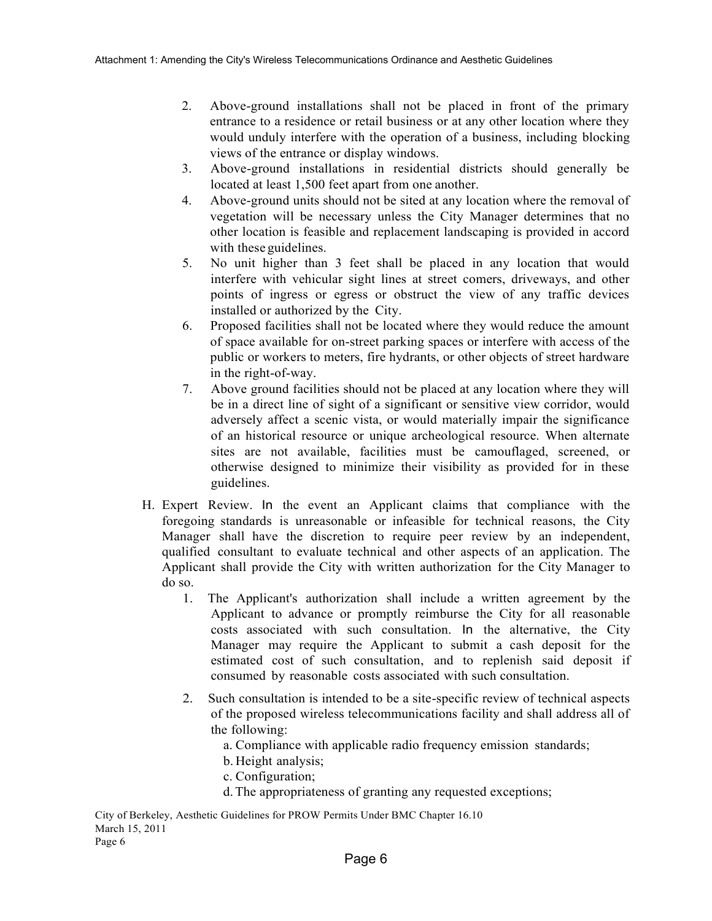- 2. Above-ground installations shall not be placed in front of the primary entrance to a residence or retail business or at any other location where they would unduly interfere with the operation of a business, including blocking views of the entrance or display windows.
- 3. Above-ground installations in residential districts should generally be located at least 1,500 feet apart from one another.
- 4. Above-ground units should not be sited at any location where the removal of vegetation will be necessary unless the City Manager determines that no other location is feasible and replacement landscaping is provided in accord with these guidelines.
- 5. No unit higher than 3 feet shall be placed in any location that would interfere with vehicular sight lines at street comers, driveways, and other points of ingress or egress or obstruct the view of any traffic devices installed or authorized by the City.
- 6. Proposed facilities shall not be located where they would reduce the amount of space available for on-street parking spaces or interfere with access of the public or workers to meters, fire hydrants, or other objects of street hardware in the right-of-way.
- 7. Above ground facilities should not be placed at any location where they will be in a direct line of sight of a significant or sensitive view corridor, would adversely affect a scenic vista, or would materially impair the significance of an historical resource or unique archeological resource. When alternate sites are not available, facilities must be camouflaged, screened, or otherwise designed to minimize their visibility as provided for in these guidelines.
- H. Expert Review. In the event an Applicant claims that compliance with the foregoing standards is unreasonable or infeasible for technical reasons, the City Manager shall have the discretion to require peer review by an independent, qualified consultant to evaluate technical and other aspects of an application. The Applicant shall provide the City with written authorization for the City Manager to do so.
	- 1. The Applicant's authorization shall include a written agreement by the Applicant to advance or promptly reimburse the City for all reasonable costs associated with such consultation. In the alternative, the City Manager may require the Applicant to submit a cash deposit for the estimated cost of such consultation, and to replenish said deposit if consumed by reasonable costs associated with such consultation.
	- 2. Such consultation is intended to be a site-specific review of technical aspects of the proposed wireless telecommunications facility and shall address all of the following:
		- a. Compliance with applicable radio frequency emission standards;
		- b. Height analysis;
		- c. Configuration;
		- d.The appropriateness of granting any requested exceptions;

City of Berkeley, Aesthetic Guidelines for PROW Permits Under BMC Chapter 16.10 March 15, 2011 Page 6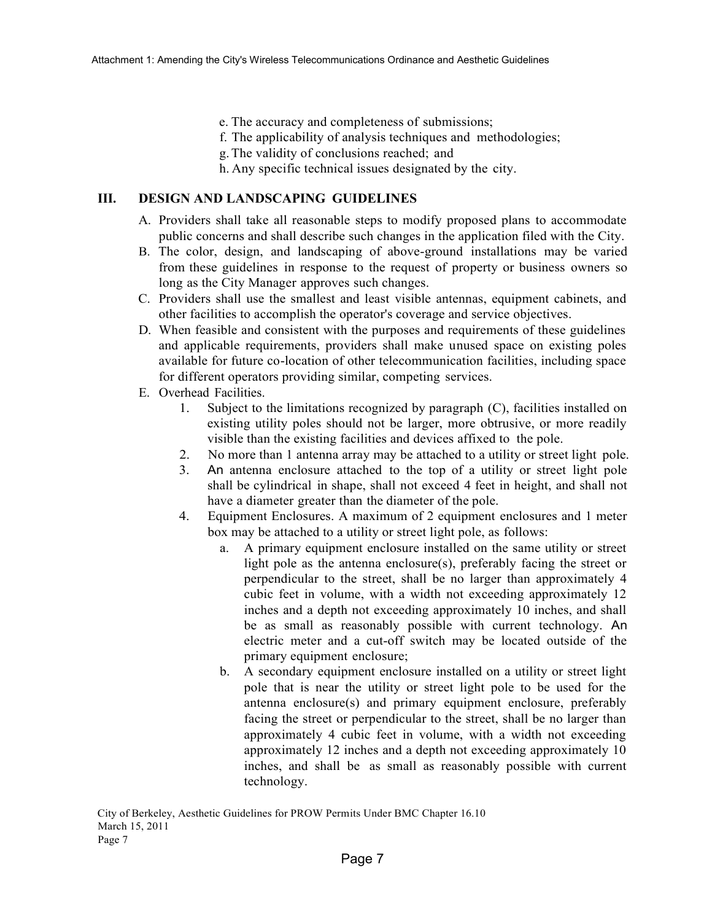- e. The accuracy and completeness of submissions;
- f. The applicability of analysis techniques and methodologies;
- g.The validity of conclusions reached; and
- h. Any specific technical issues designated by the city.

## **III. DESIGN AND LANDSCAPING GUIDELINES**

- A. Providers shall take all reasonable steps to modify proposed plans to accommodate public concerns and shall describe such changes in the application filed with the City.
- B. The color, design, and landscaping of above-ground installations may be varied from these guidelines in response to the request of property or business owners so long as the City Manager approves such changes.
- C. Providers shall use the smallest and least visible antennas, equipment cabinets, and other facilities to accomplish the operator's coverage and service objectives.
- D. When feasible and consistent with the purposes and requirements of these guidelines and applicable requirements, providers shall make unused space on existing poles available for future co-location of other telecommunication facilities, including space for different operators providing similar, competing services.
- E. Overhead Facilities.
	- 1. Subject to the limitations recognized by paragraph (C), facilities installed on existing utility poles should not be larger, more obtrusive, or more readily visible than the existing facilities and devices affixed to the pole.
	- 2. No more than 1 antenna array may be attached to a utility or street light pole.
	- 3. An antenna enclosure attached to the top of a utility or street light pole shall be cylindrical in shape, shall not exceed 4 feet in height, and shall not have a diameter greater than the diameter of the pole.
	- 4. Equipment Enclosures. A maximum of 2 equipment enclosures and 1 meter box may be attached to a utility or street light pole, as follows:
		- a. A primary equipment enclosure installed on the same utility or street light pole as the antenna enclosure(s), preferably facing the street or perpendicular to the street, shall be no larger than approximately 4 cubic feet in volume, with a width not exceeding approximately 12 inches and a depth not exceeding approximately 10 inches, and shall be as small as reasonably possible with current technology. An electric meter and a cut-off switch may be located outside of the primary equipment enclosure;
		- b. A secondary equipment enclosure installed on a utility or street light pole that is near the utility or street light pole to be used for the antenna enclosure(s) and primary equipment enclosure, preferably facing the street or perpendicular to the street, shall be no larger than approximately 4 cubic feet in volume, with a width not exceeding approximately 12 inches and a depth not exceeding approximately 10 inches, and shall be as small as reasonably possible with current technology.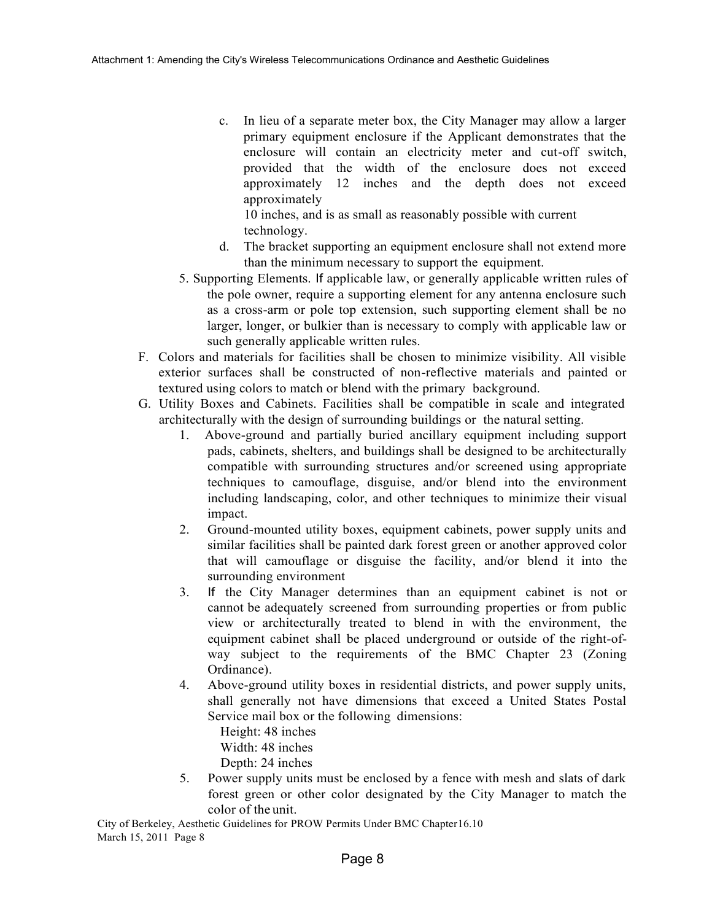c. In lieu of a separate meter box, the City Manager may allow a larger primary equipment enclosure if the Applicant demonstrates that the enclosure will contain an electricity meter and cut-off switch, provided that the width of the enclosure does not exceed approximately 12 inches and the depth does not exceed approximately

10 inches, and is as small as reasonably possible with current technology.

- d. The bracket supporting an equipment enclosure shall not extend more than the minimum necessary to support the equipment.
- 5. Supporting Elements. If applicable law, or generally applicable written rules of the pole owner, require a supporting element for any antenna enclosure such as a cross-arm or pole top extension, such supporting element shall be no larger, longer, or bulkier than is necessary to comply with applicable law or such generally applicable written rules.
- F. Colors and materials for facilities shall be chosen to minimize visibility. All visible exterior surfaces shall be constructed of non-reflective materials and painted or textured using colors to match or blend with the primary background.
- G. Utility Boxes and Cabinets. Facilities shall be compatible in scale and integrated architecturally with the design of surrounding buildings or the natural setting.
	- 1. Above-ground and partially buried ancillary equipment including support pads, cabinets, shelters, and buildings shall be designed to be architecturally compatible with surrounding structures and/or screened using appropriate techniques to camouflage, disguise, and/or blend into the environment including landscaping, color, and other techniques to minimize their visual impact.
	- 2. Ground-mounted utility boxes, equipment cabinets, power supply units and similar facilities shall be painted dark forest green or another approved color that will camouflage or disguise the facility, and/or blend it into the surrounding environment
	- 3. If the City Manager determines than an equipment cabinet is not or cannot be adequately screened from surrounding properties or from public view or architecturally treated to blend in with the environment, the equipment cabinet shall be placed underground or outside of the right-ofway subject to the requirements of the BMC Chapter 23 (Zoning Ordinance).
	- 4. Above-ground utility boxes in residential districts, and power supply units, shall generally not have dimensions that exceed a United States Postal Service mail box or the following dimensions:
		- Height: 48 inches
		- Width: 48 inches
		- Depth: 24 inches
	- 5. Power supply units must be enclosed by a fence with mesh and slats of dark forest green or other color designated by the City Manager to match the color of the unit.

 City of Berkeley, Aesthetic Guidelines for PROW Permits Under BMC Chapter16.10 March 15, 2011 Page 8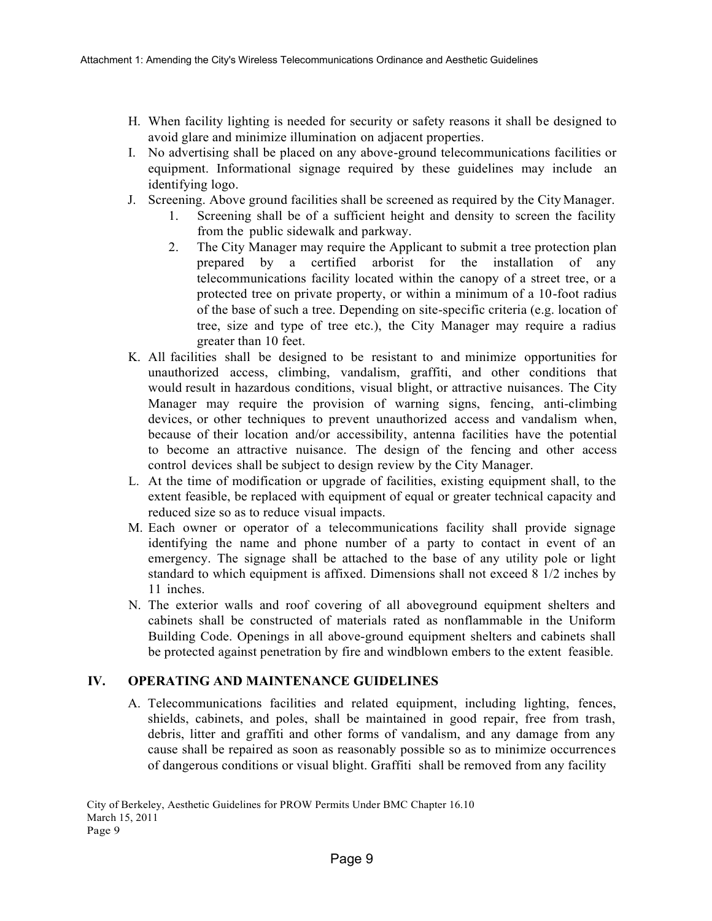- H. When facility lighting is needed for security or safety reasons it shall be designed to avoid glare and minimize illumination on adjacent properties.
- I. No advertising shall be placed on any above-ground telecommunications facilities or equipment. Informational signage required by these guidelines may include an identifying logo.
- J. Screening. Above ground facilities shall be screened as required by the City Manager.
	- 1. Screening shall be of a sufficient height and density to screen the facility from the public sidewalk and parkway.
	- 2. The City Manager may require the Applicant to submit a tree protection plan prepared by a certified arborist for the installation of any telecommunications facility located within the canopy of a street tree, or a protected tree on private property, or within a minimum of a 10-foot radius of the base of such a tree. Depending on site-specific criteria (e.g. location of tree, size and type of tree etc.), the City Manager may require a radius greater than 10 feet.
- K. All facilities shall be designed to be resistant to and minimize opportunities for unauthorized access, climbing, vandalism, graffiti, and other conditions that would result in hazardous conditions, visual blight, or attractive nuisances. The City Manager may require the provision of warning signs, fencing, anti-climbing devices, or other techniques to prevent unauthorized access and vandalism when, because of their location and/or accessibility, antenna facilities have the potential to become an attractive nuisance. The design of the fencing and other access control devices shall be subject to design review by the City Manager.
- L. At the time of modification or upgrade of facilities, existing equipment shall, to the extent feasible, be replaced with equipment of equal or greater technical capacity and reduced size so as to reduce visual impacts.
- M. Each owner or operator of a telecommunications facility shall provide signage identifying the name and phone number of a party to contact in event of an emergency. The signage shall be attached to the base of any utility pole or light standard to which equipment is affixed. Dimensions shall not exceed 8 1/2 inches by 11 inches.
- N. The exterior walls and roof covering of all aboveground equipment shelters and cabinets shall be constructed of materials rated as nonflammable in the Uniform Building Code. Openings in all above-ground equipment shelters and cabinets shall be protected against penetration by fire and windblown embers to the extent feasible.

# **IV. OPERATING AND MAINTENANCE GUIDELINES**

A. Telecommunications facilities and related equipment, including lighting, fences, shields, cabinets, and poles, shall be maintained in good repair, free from trash, debris, litter and graffiti and other forms of vandalism, and any damage from any cause shall be repaired as soon as reasonably possible so as to minimize occurrences of dangerous conditions or visual blight. Graffiti shall be removed from any facility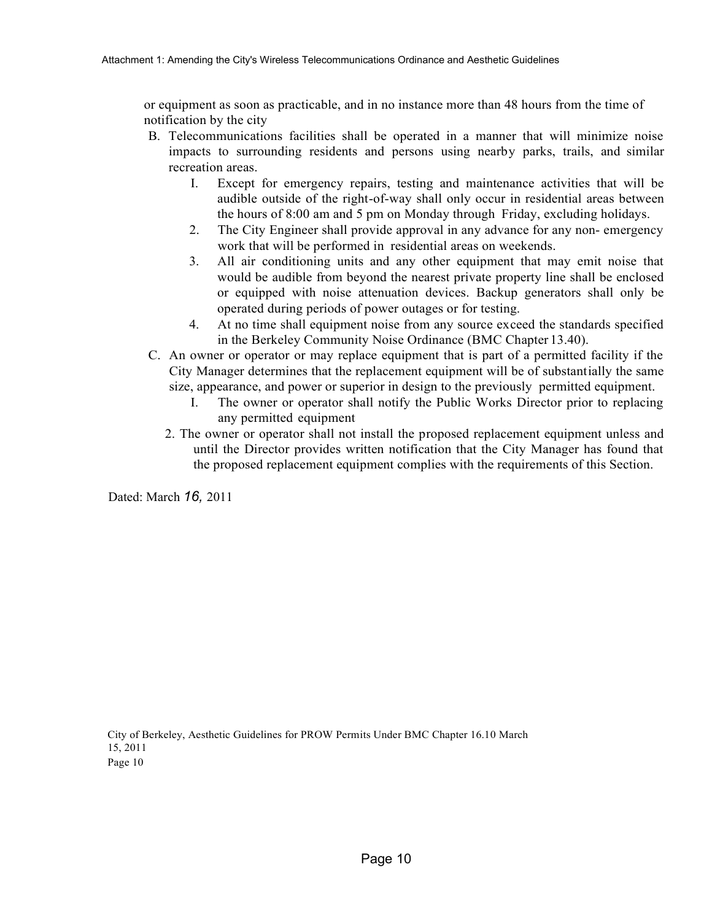or equipment as soon as practicable, and in no instance more than 48 hours from the time of notification by the city

- B. Telecommunications facilities shall be operated in a manner that will minimize noise impacts to surrounding residents and persons using nearby parks, trails, and similar recreation areas.
	- I. Except for emergency repairs, testing and maintenance activities that will be audible outside of the right-of-way shall only occur in residential areas between the hours of 8:00 am and 5 pm on Monday through Friday, excluding holidays.
	- 2. The City Engineer shall provide approval in any advance for any non- emergency work that will be performed in residential areas on weekends.
	- 3. All air conditioning units and any other equipment that may emit noise that would be audible from beyond the nearest private property line shall be enclosed or equipped with noise attenuation devices. Backup generators shall only be operated during periods of power outages or for testing.
	- 4. At no time shall equipment noise from any source exceed the standards specified in the Berkeley Community Noise Ordinance (BMC Chapter 13.40).
- C. An owner or operator or may replace equipment that is part of a permitted facility if the City Manager determines that the replacement equipment will be of substantially the same size, appearance, and power or superior in design to the previously permitted equipment.
	- I. The owner or operator shall notify the Public Works Director prior to replacing any permitted equipment
	- 2. The owner or operator shall not install the proposed replacement equipment unless and until the Director provides written notification that the City Manager has found that the proposed replacement equipment complies with the requirements of this Section.

Dated: March *16,* 2011

City of Berkeley, Aesthetic Guidelines for PROW Permits Under BMC Chapter 16.10 March 15, 2011 Page 10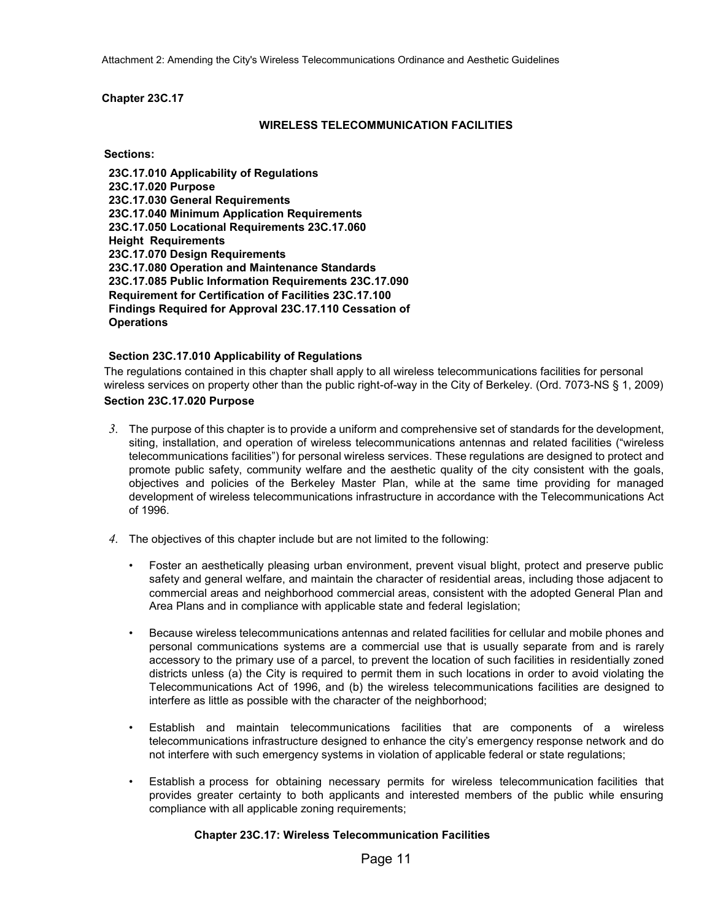Attachment 2: Amending the City's Wireless Telecommunications Ordinance and Aesthetic Guidelines

#### **Chapter 23C.17**

#### **WIRELESS TELECOMMUNICATION FACILITIES**

**Sections:**

**23C.17.010 Applicability of Regulations 23C.17.020 Purpose 23C.17.030 General Requirements 23C.17.040 Minimum Application Requirements 23C.17.050 Locational Requirements 23C.17.060 Height Requirements 23C.17.070 Design Requirements 23C.17.080 Operation and Maintenance Standards 23C.17.085 Public Information Requirements 23C.17.090 Requirement for Certification of Facilities 23C.17.100 Findings Required for Approval 23C.17.110 Cessation of Operations**

#### **Section 23C.17.010 Applicability of Regulations**

The regulations contained in this chapter shall apply to all wireless telecommunications facilities for personal wireless services on property other than the public right-of-way in the City of Berkeley. (Ord. 7073-NS § 1, 2009)

#### **Section 23C.17.020 Purpose**

- *3.* The purpose of this chapter is to provide a uniform and comprehensive set of standards for the development, siting, installation, and operation of wireless telecommunications antennas and related facilities ("wireless telecommunications facilities") for personal wireless services. These regulations are designed to protect and promote public safety, community welfare and the aesthetic quality of the city consistent with the goals, objectives and policies of the Berkeley Master Plan, while at the same time providing for managed development of wireless telecommunications infrastructure in accordance with the Telecommunications Act of 1996.
- *4.* The objectives of this chapter include but are not limited to the following:
	- Foster an aesthetically pleasing urban environment, prevent visual blight, protect and preserve public safety and general welfare, and maintain the character of residential areas, including those adjacent to commercial areas and neighborhood commercial areas, consistent with the adopted General Plan and Area Plans and in compliance with applicable state and federal legislation;
	- Because wireless telecommunications antennas and related facilities for cellular and mobile phones and personal communications systems are a commercial use that is usually separate from and is rarely accessory to the primary use of a parcel, to prevent the location of such facilities in residentially zoned districts unless (a) the City is required to permit them in such locations in order to avoid violating the Telecommunications Act of 1996, and (b) the wireless telecommunications facilities are designed to interfere as little as possible with the character of the neighborhood;
	- Establish and maintain telecommunications facilities that are components of a wireless telecommunications infrastructure designed to enhance the city's emergency response network and do not interfere with such emergency systems in violation of applicable federal or state regulations;
	- Establish a process for obtaining necessary permits for wireless telecommunication facilities that provides greater certainty to both applicants and interested members of the public while ensuring compliance with all applicable zoning requirements;

### **Chapter 23C.17: Wireless Telecommunication Facilities**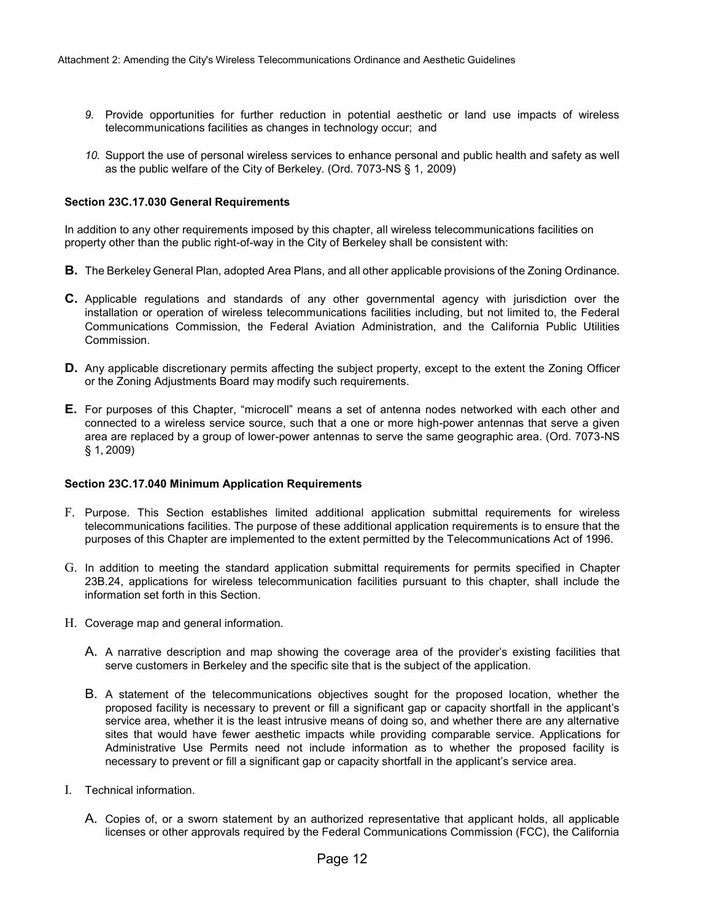- *9.* Provide opportunities for further reduction in potential aesthetic or land use impacts of wireless telecommunications facilities as changes in technology occur; and
- *10.* Support the use of personal wireless services to enhance personal and public health and safety as well as the public welfare of the City of Berkeley. (Ord. 7073-NS § 1, 2009)

#### **Section 23C.17.030 General Requirements**

In addition to any other requirements imposed by this chapter, all wireless telecommunications facilities on property other than the public right-of-way in the City of Berkeley shall be consistent with:

- **B.** The Berkeley General Plan, adopted Area Plans, and all other applicable provisions of the Zoning Ordinance.
- **C.** Applicable regulations and standards of any other governmental agency with jurisdiction over the installation or operation of wireless telecommunications facilities including, but not limited to, the Federal Communications Commission, the Federal Aviation Administration, and the California Public Utilities Commission.
- **D.** Any applicable discretionary permits affecting the subject property, except to the extent the Zoning Officer or the Zoning Adjustments Board may modify such requirements.
- **E.** For purposes of this Chapter, "microcell" means a set of antenna nodes networked with each other and connected to a wireless service source, such that a one or more high-power antennas that serve a given area are replaced by a group of lower-power antennas to serve the same geographic area. (Ord. 7073-NS § 1, 2009)

#### **Section 23C.17.040 Minimum Application Requirements**

- F. Purpose. This Section establishes limited additional application submittal requirements for wireless telecommunications facilities. The purpose of these additional application requirements is to ensure that the purposes of this Chapter are implemented to the extent permitted by the Telecommunications Act of 1996.
- G. In addition to meeting the standard application submittal requirements for permits specified in Chapter 23B.24, applications for wireless telecommunication facilities pursuant to this chapter, shall include the information set forth in this Section.
- H. Coverage map and general information.
	- A. A narrative description and map showing the coverage area of the provider's existing facilities that serve customers in Berkeley and the specific site that is the subject of the application.
	- B. A statement of the telecommunications objectives sought for the proposed location, whether the proposed facility is necessary to prevent or fill a significant gap or capacity shortfall in the applicant's service area, whether it is the least intrusive means of doing so, and whether there are any alternative sites that would have fewer aesthetic impacts while providing comparable service. Applications for Administrative Use Permits need not include information as to whether the proposed facility is necessary to prevent or fill a significant gap or capacity shortfall in the applicant's service area.
- I. Technical information.
	- A. Copies of, or a sworn statement by an authorized representative that applicant holds, all applicable licenses or other approvals required by the Federal Communications Commission (FCC), the California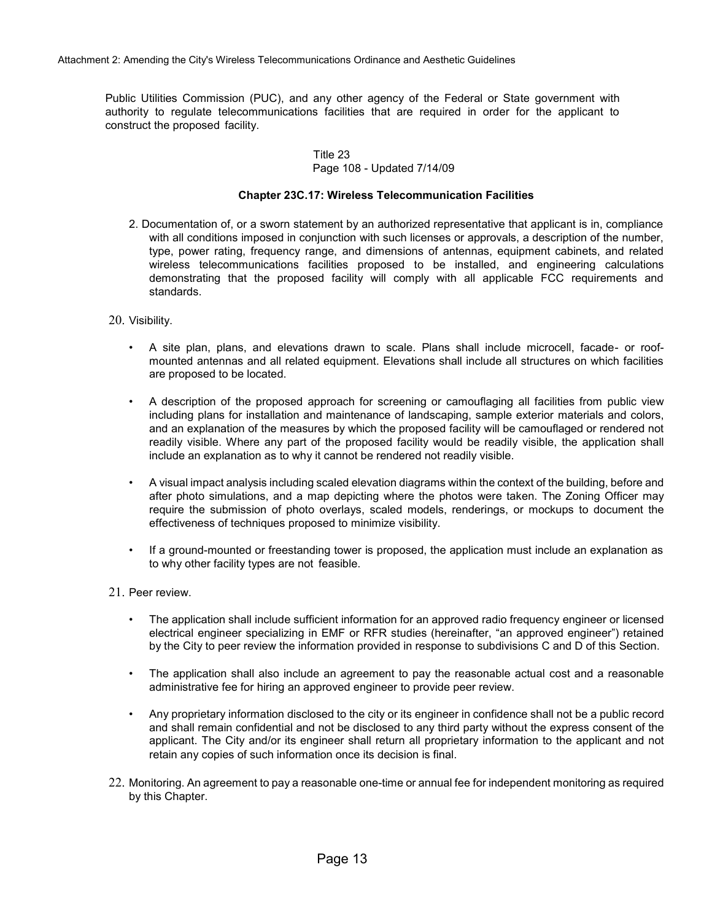Public Utilities Commission (PUC), and any other agency of the Federal or State government with authority to regulate telecommunications facilities that are required in order for the applicant to construct the proposed facility.

#### Title 23 Page 108 - Updated 7/14/09

#### **Chapter 23C.17: Wireless Telecommunication Facilities**

- 2. Documentation of, or a sworn statement by an authorized representative that applicant is in, compliance with all conditions imposed in conjunction with such licenses or approvals, a description of the number, type, power rating, frequency range, and dimensions of antennas, equipment cabinets, and related wireless telecommunications facilities proposed to be installed, and engineering calculations demonstrating that the proposed facility will comply with all applicable FCC requirements and standards.
- 20. Visibility.
	- A site plan, plans, and elevations drawn to scale. Plans shall include microcell, facade- or roofmounted antennas and all related equipment. Elevations shall include all structures on which facilities are proposed to be located.
	- A description of the proposed approach for screening or camouflaging all facilities from public view including plans for installation and maintenance of landscaping, sample exterior materials and colors, and an explanation of the measures by which the proposed facility will be camouflaged or rendered not readily visible. Where any part of the proposed facility would be readily visible, the application shall include an explanation as to why it cannot be rendered not readily visible.
	- A visual impact analysis including scaled elevation diagrams within the context of the building, before and after photo simulations, and a map depicting where the photos were taken. The Zoning Officer may require the submission of photo overlays, scaled models, renderings, or mockups to document the effectiveness of techniques proposed to minimize visibility.
	- If a ground-mounted or freestanding tower is proposed, the application must include an explanation as to why other facility types are not feasible.
- 21. Peer review.
	- The application shall include sufficient information for an approved radio frequency engineer or licensed electrical engineer specializing in EMF or RFR studies (hereinafter, "an approved engineer") retained by the City to peer review the information provided in response to subdivisions C and D of this Section.
	- The application shall also include an agreement to pay the reasonable actual cost and a reasonable administrative fee for hiring an approved engineer to provide peer review.
	- Any proprietary information disclosed to the city or its engineer in confidence shall not be a public record and shall remain confidential and not be disclosed to any third party without the express consent of the applicant. The City and/or its engineer shall return all proprietary information to the applicant and not retain any copies of such information once its decision is final.
- 22. Monitoring. An agreement to pay a reasonable one-time or annual fee for independent monitoring as required by this Chapter.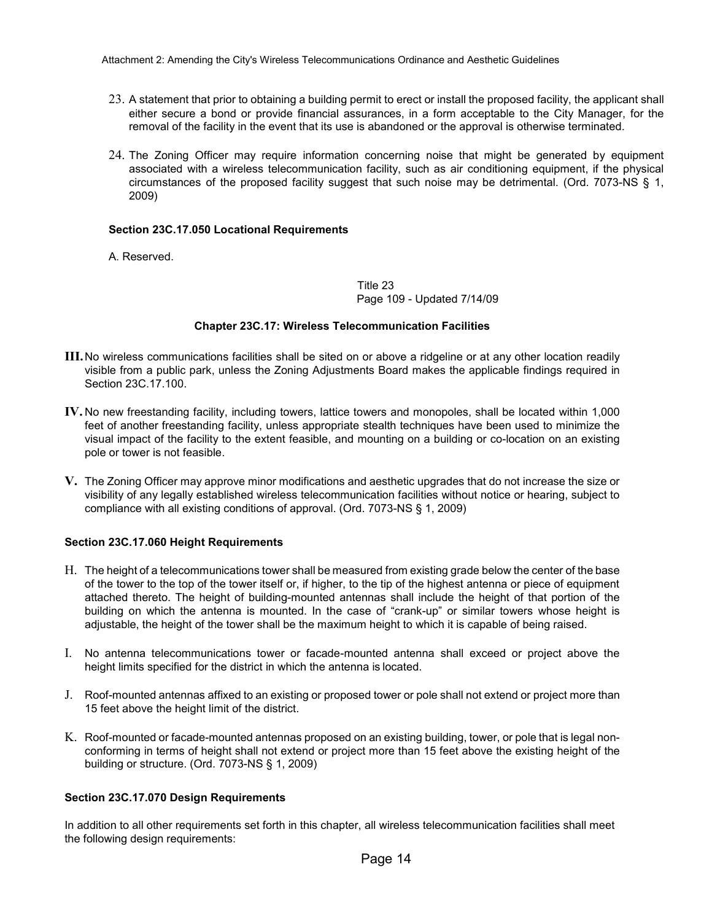- 23. A statement that prior to obtaining a building permit to erect or install the proposed facility, the applicant shall either secure a bond or provide financial assurances, in a form acceptable to the City Manager, for the removal of the facility in the event that its use is abandoned or the approval is otherwise terminated.
- 24. The Zoning Officer may require information concerning noise that might be generated by equipment associated with a wireless telecommunication facility, such as air conditioning equipment, if the physical circumstances of the proposed facility suggest that such noise may be detrimental. (Ord. 7073-NS § 1, 2009)

#### **Section 23C.17.050 Locational Requirements**

A. Reserved.

Title 23 Page 109 - Updated 7/14/09

#### **Chapter 23C.17: Wireless Telecommunication Facilities**

- **III.**No wireless communications facilities shall be sited on or above a ridgeline or at any other location readily visible from a public park, unless the Zoning Adjustments Board makes the applicable findings required in Section 23C.17.100.
- **IV.** No new freestanding facility, including towers, lattice towers and monopoles, shall be located within 1,000 feet of another freestanding facility, unless appropriate stealth techniques have been used to minimize the visual impact of the facility to the extent feasible, and mounting on a building or co-location on an existing pole or tower is not feasible.
- **V.** The Zoning Officer may approve minor modifications and aesthetic upgrades that do not increase the size or visibility of any legally established wireless telecommunication facilities without notice or hearing, subject to compliance with all existing conditions of approval. (Ord. 7073-NS § 1, 2009)

#### **Section 23C.17.060 Height Requirements**

- H. The height of a telecommunications tower shall be measured from existing grade below the center of the base of the tower to the top of the tower itself or, if higher, to the tip of the highest antenna or piece of equipment attached thereto. The height of building-mounted antennas shall include the height of that portion of the building on which the antenna is mounted. In the case of "crank-up" or similar towers whose height is adjustable, the height of the tower shall be the maximum height to which it is capable of being raised.
- I. No antenna telecommunications tower or facade-mounted antenna shall exceed or project above the height limits specified for the district in which the antenna is located.
- J. Roof-mounted antennas affixed to an existing or proposed tower or pole shall not extend or project more than 15 feet above the height limit of the district.
- K. Roof-mounted or facade-mounted antennas proposed on an existing building, tower, or pole that is legal nonconforming in terms of height shall not extend or project more than 15 feet above the existing height of the building or structure. (Ord. 7073-NS § 1, 2009)

#### **Section 23C.17.070 Design Requirements**

In addition to all other requirements set forth in this chapter, all wireless telecommunication facilities shall meet the following design requirements: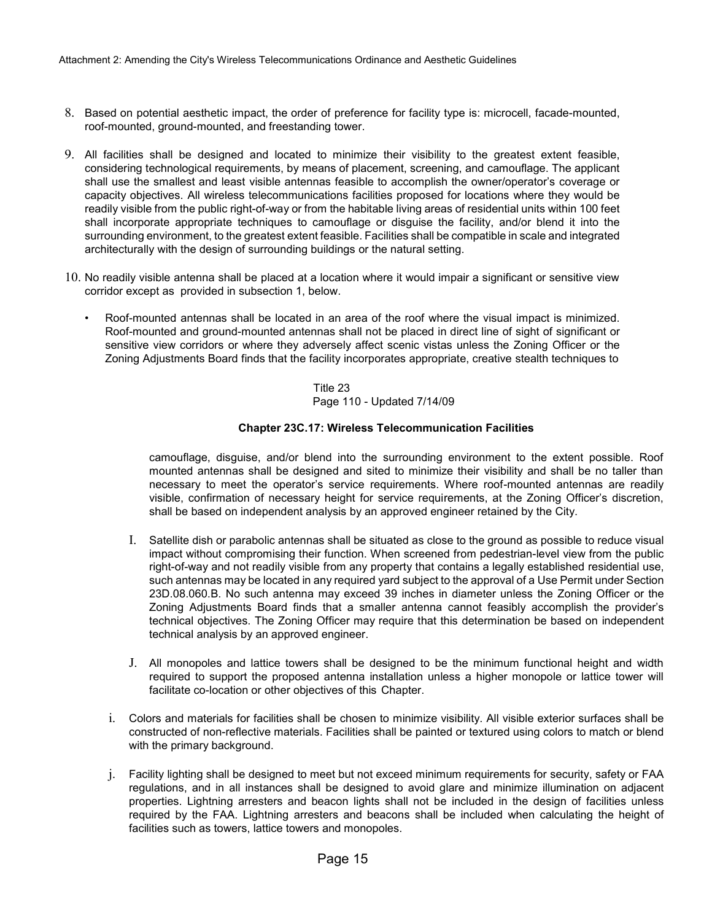- 8. Based on potential aesthetic impact, the order of preference for facility type is: microcell, facade-mounted, roof-mounted, ground-mounted, and freestanding tower.
- 9. All facilities shall be designed and located to minimize their visibility to the greatest extent feasible, considering technological requirements, by means of placement, screening, and camouflage. The applicant shall use the smallest and least visible antennas feasible to accomplish the owner/operator's coverage or capacity objectives. All wireless telecommunications facilities proposed for locations where they would be readily visible from the public right-of-way or from the habitable living areas of residential units within 100 feet shall incorporate appropriate techniques to camouflage or disguise the facility, and/or blend it into the surrounding environment, to the greatest extent feasible. Facilities shall be compatible in scale and integrated architecturally with the design of surrounding buildings or the natural setting.
- 10. No readily visible antenna shall be placed at a location where it would impair a significant or sensitive view corridor except as provided in subsection 1, below.
	- Roof-mounted antennas shall be located in an area of the roof where the visual impact is minimized. Roof-mounted and ground-mounted antennas shall not be placed in direct line of sight of significant or sensitive view corridors or where they adversely affect scenic vistas unless the Zoning Officer or the Zoning Adjustments Board finds that the facility incorporates appropriate, creative stealth techniques to

Title 23 Page 110 - Updated 7/14/09

#### **Chapter 23C.17: Wireless Telecommunication Facilities**

camouflage, disguise, and/or blend into the surrounding environment to the extent possible. Roof mounted antennas shall be designed and sited to minimize their visibility and shall be no taller than necessary to meet the operator's service requirements. Where roof-mounted antennas are readily visible, confirmation of necessary height for service requirements, at the Zoning Officer's discretion, shall be based on independent analysis by an approved engineer retained by the City.

- I. Satellite dish or parabolic antennas shall be situated as close to the ground as possible to reduce visual impact without compromising their function. When screened from pedestrian-level view from the public right-of-way and not readily visible from any property that contains a legally established residential use, such antennas may be located in any required yard subject to the approval of a Use Permit under Section 23D.08.060.B. No such antenna may exceed 39 inches in diameter unless the Zoning Officer or the Zoning Adjustments Board finds that a smaller antenna cannot feasibly accomplish the provider's technical objectives. The Zoning Officer may require that this determination be based on independent technical analysis by an approved engineer.
- J. All monopoles and lattice towers shall be designed to be the minimum functional height and width required to support the proposed antenna installation unless a higher monopole or lattice tower will facilitate co-location or other objectives of this Chapter.
- i. Colors and materials for facilities shall be chosen to minimize visibility. All visible exterior surfaces shall be constructed of non-reflective materials. Facilities shall be painted or textured using colors to match or blend with the primary background.
- j. Facility lighting shall be designed to meet but not exceed minimum requirements for security, safety or FAA regulations, and in all instances shall be designed to avoid glare and minimize illumination on adjacent properties. Lightning arresters and beacon lights shall not be included in the design of facilities unless required by the FAA. Lightning arresters and beacons shall be included when calculating the height of facilities such as towers, lattice towers and monopoles.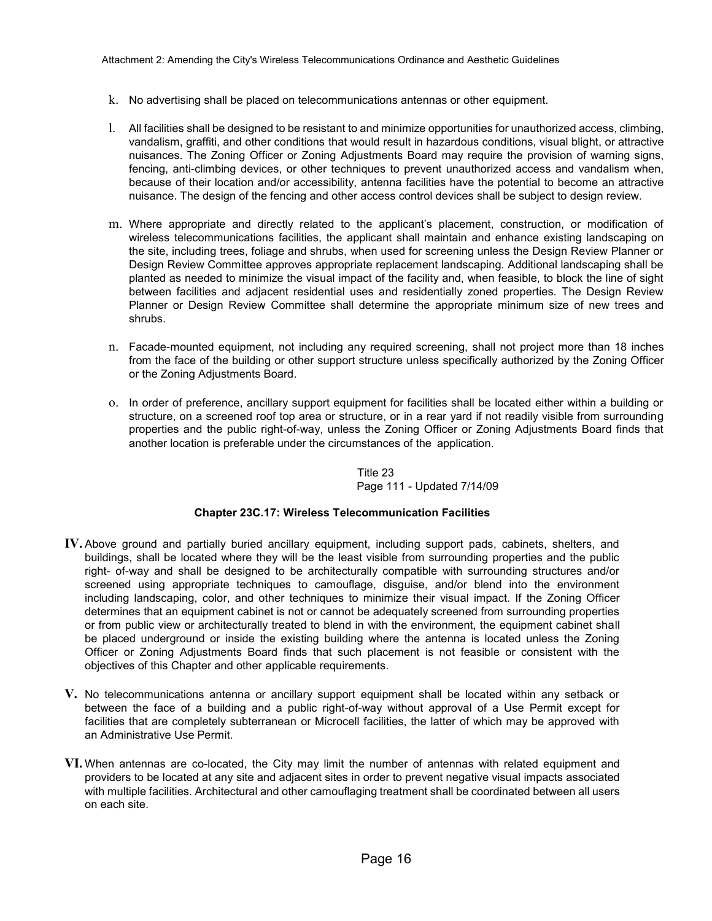- k. No advertising shall be placed on telecommunications antennas or other equipment.
- l. All facilities shall be designed to be resistant to and minimize opportunities for unauthorized access, climbing, vandalism, graffiti, and other conditions that would result in hazardous conditions, visual blight, or attractive nuisances. The Zoning Officer or Zoning Adjustments Board may require the provision of warning signs, fencing, anti-climbing devices, or other techniques to prevent unauthorized access and vandalism when, because of their location and/or accessibility, antenna facilities have the potential to become an attractive nuisance. The design of the fencing and other access control devices shall be subject to design review.
- m. Where appropriate and directly related to the applicant's placement, construction, or modification of wireless telecommunications facilities, the applicant shall maintain and enhance existing landscaping on the site, including trees, foliage and shrubs, when used for screening unless the Design Review Planner or Design Review Committee approves appropriate replacement landscaping. Additional landscaping shall be planted as needed to minimize the visual impact of the facility and, when feasible, to block the line of sight between facilities and adjacent residential uses and residentially zoned properties. The Design Review Planner or Design Review Committee shall determine the appropriate minimum size of new trees and shrubs.
- n. Facade-mounted equipment, not including any required screening, shall not project more than 18 inches from the face of the building or other support structure unless specifically authorized by the Zoning Officer or the Zoning Adjustments Board.
- o. In order of preference, ancillary support equipment for facilities shall be located either within a building or structure, on a screened roof top area or structure, or in a rear yard if not readily visible from surrounding properties and the public right-of-way, unless the Zoning Officer or Zoning Adjustments Board finds that another location is preferable under the circumstances of the application.

Title 23 Page 111 - Updated 7/14/09

#### **Chapter 23C.17: Wireless Telecommunication Facilities**

- **IV.** Above ground and partially buried ancillary equipment, including support pads, cabinets, shelters, and buildings, shall be located where they will be the least visible from surrounding properties and the public right- of-way and shall be designed to be architecturally compatible with surrounding structures and/or screened using appropriate techniques to camouflage, disguise, and/or blend into the environment including landscaping, color, and other techniques to minimize their visual impact. If the Zoning Officer determines that an equipment cabinet is not or cannot be adequately screened from surrounding properties or from public view or architecturally treated to blend in with the environment, the equipment cabinet shall be placed underground or inside the existing building where the antenna is located unless the Zoning Officer or Zoning Adjustments Board finds that such placement is not feasible or consistent with the objectives of this Chapter and other applicable requirements.
- **V.** No telecommunications antenna or ancillary support equipment shall be located within any setback or between the face of a building and a public right-of-way without approval of a Use Permit except for facilities that are completely subterranean or Microcell facilities, the latter of which may be approved with an Administrative Use Permit.
- **VI.** When antennas are co-located, the City may limit the number of antennas with related equipment and providers to be located at any site and adjacent sites in order to prevent negative visual impacts associated with multiple facilities. Architectural and other camouflaging treatment shall be coordinated between all users on each site.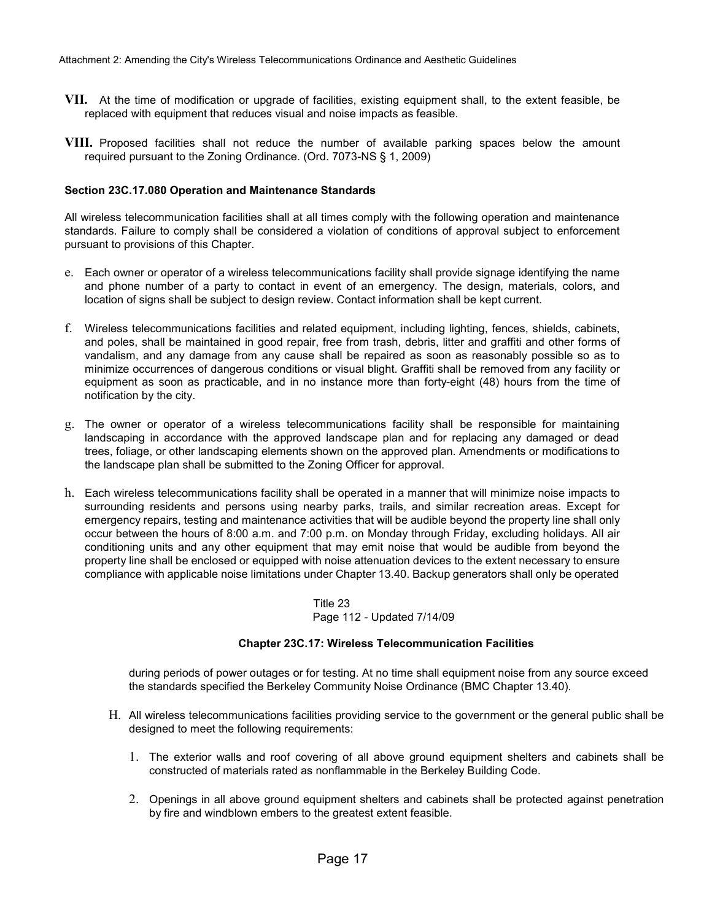- **VII.** At the time of modification or upgrade of facilities, existing equipment shall, to the extent feasible, be replaced with equipment that reduces visual and noise impacts as feasible.
- **VIII.** Proposed facilities shall not reduce the number of available parking spaces below the amount required pursuant to the Zoning Ordinance. (Ord. 7073-NS § 1, 2009)

#### **Section 23C.17.080 Operation and Maintenance Standards**

All wireless telecommunication facilities shall at all times comply with the following operation and maintenance standards. Failure to comply shall be considered a violation of conditions of approval subject to enforcement pursuant to provisions of this Chapter.

- e. Each owner or operator of a wireless telecommunications facility shall provide signage identifying the name and phone number of a party to contact in event of an emergency. The design, materials, colors, and location of signs shall be subject to design review. Contact information shall be kept current.
- f. Wireless telecommunications facilities and related equipment, including lighting, fences, shields, cabinets, and poles, shall be maintained in good repair, free from trash, debris, litter and graffiti and other forms of vandalism, and any damage from any cause shall be repaired as soon as reasonably possible so as to minimize occurrences of dangerous conditions or visual blight. Graffiti shall be removed from any facility or equipment as soon as practicable, and in no instance more than forty-eight (48) hours from the time of notification by the city.
- g. The owner or operator of a wireless telecommunications facility shall be responsible for maintaining landscaping in accordance with the approved landscape plan and for replacing any damaged or dead trees, foliage, or other landscaping elements shown on the approved plan. Amendments or modifications to the landscape plan shall be submitted to the Zoning Officer for approval.
- h. Each wireless telecommunications facility shall be operated in a manner that will minimize noise impacts to surrounding residents and persons using nearby parks, trails, and similar recreation areas. Except for emergency repairs, testing and maintenance activities that will be audible beyond the property line shall only occur between the hours of 8:00 a.m. and 7:00 p.m. on Monday through Friday, excluding holidays. All air conditioning units and any other equipment that may emit noise that would be audible from beyond the property line shall be enclosed or equipped with noise attenuation devices to the extent necessary to ensure compliance with applicable noise limitations under Chapter 13.40. Backup generators shall only be operated

Title 23 Page 112 - Updated 7/14/09

#### **Chapter 23C.17: Wireless Telecommunication Facilities**

during periods of power outages or for testing. At no time shall equipment noise from any source exceed the standards specified the Berkeley Community Noise Ordinance (BMC Chapter 13.40).

- H. All wireless telecommunications facilities providing service to the government or the general public shall be designed to meet the following requirements:
	- 1. The exterior walls and roof covering of all above ground equipment shelters and cabinets shall be constructed of materials rated as nonflammable in the Berkeley Building Code.
	- 2. Openings in all above ground equipment shelters and cabinets shall be protected against penetration by fire and windblown embers to the greatest extent feasible.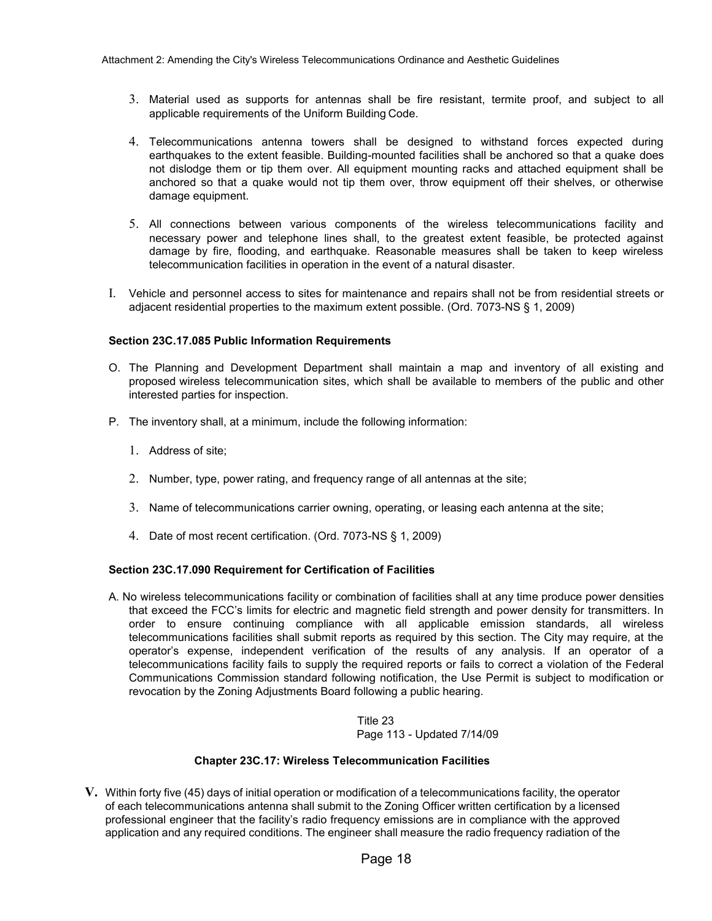- 3. Material used as supports for antennas shall be fire resistant, termite proof, and subject to all applicable requirements of the Uniform Building Code.
- 4. Telecommunications antenna towers shall be designed to withstand forces expected during earthquakes to the extent feasible. Building-mounted facilities shall be anchored so that a quake does not dislodge them or tip them over. All equipment mounting racks and attached equipment shall be anchored so that a quake would not tip them over, throw equipment off their shelves, or otherwise damage equipment.
- 5. All connections between various components of the wireless telecommunications facility and necessary power and telephone lines shall, to the greatest extent feasible, be protected against damage by fire, flooding, and earthquake. Reasonable measures shall be taken to keep wireless telecommunication facilities in operation in the event of a natural disaster.
- I. Vehicle and personnel access to sites for maintenance and repairs shall not be from residential streets or adjacent residential properties to the maximum extent possible. (Ord. 7073-NS § 1, 2009)

#### **Section 23C.17.085 Public Information Requirements**

- O. The Planning and Development Department shall maintain a map and inventory of all existing and proposed wireless telecommunication sites, which shall be available to members of the public and other interested parties for inspection.
- P. The inventory shall, at a minimum, include the following information:
	- 1. Address of site;
	- 2. Number, type, power rating, and frequency range of all antennas at the site;
	- 3. Name of telecommunications carrier owning, operating, or leasing each antenna at the site;
	- 4. Date of most recent certification. (Ord. 7073-NS § 1, 2009)

#### **Section 23C.17.090 Requirement for Certification of Facilities**

A. No wireless telecommunications facility or combination of facilities shall at any time produce power densities that exceed the FCC's limits for electric and magnetic field strength and power density for transmitters. In order to ensure continuing compliance with all applicable emission standards, all wireless telecommunications facilities shall submit reports as required by this section. The City may require, at the operator's expense, independent verification of the results of any analysis. If an operator of a telecommunications facility fails to supply the required reports or fails to correct a violation of the Federal Communications Commission standard following notification, the Use Permit is subject to modification or revocation by the Zoning Adjustments Board following a public hearing.

> Title 23 Page 113 - Updated 7/14/09

#### **Chapter 23C.17: Wireless Telecommunication Facilities**

**V.** Within forty five (45) days of initial operation or modification of a telecommunications facility, the operator of each telecommunications antenna shall submit to the Zoning Officer written certification by a licensed professional engineer that the facility's radio frequency emissions are in compliance with the approved application and any required conditions. The engineer shall measure the radio frequency radiation of the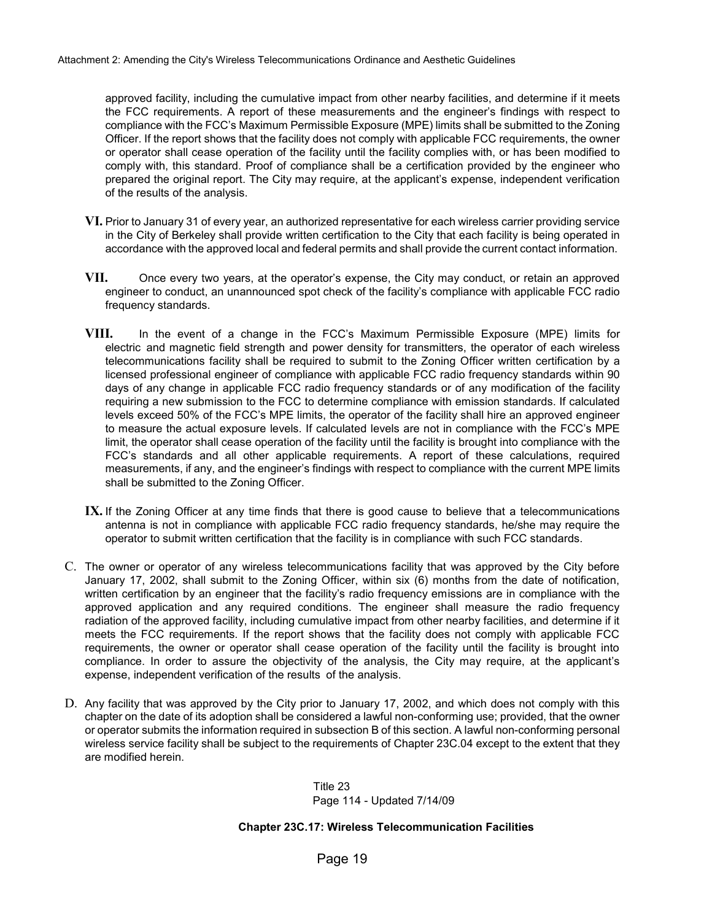approved facility, including the cumulative impact from other nearby facilities, and determine if it meets the FCC requirements. A report of these measurements and the engineer's findings with respect to compliance with the FCC's Maximum Permissible Exposure (MPE) limits shall be submitted to the Zoning Officer. If the report shows that the facility does not comply with applicable FCC requirements, the owner or operator shall cease operation of the facility until the facility complies with, or has been modified to comply with, this standard. Proof of compliance shall be a certification provided by the engineer who prepared the original report. The City may require, at the applicant's expense, independent verification of the results of the analysis.

- **VI.** Prior to January 31 of every year, an authorized representative for each wireless carrier providing service in the City of Berkeley shall provide written certification to the City that each facility is being operated in accordance with the approved local and federal permits and shall provide the current contact information.
- **VII.** Once every two years, at the operator's expense, the City may conduct, or retain an approved engineer to conduct, an unannounced spot check of the facility's compliance with applicable FCC radio frequency standards.
- **VIII.** In the event of a change in the FCC's Maximum Permissible Exposure (MPE) limits for electric and magnetic field strength and power density for transmitters, the operator of each wireless telecommunications facility shall be required to submit to the Zoning Officer written certification by a licensed professional engineer of compliance with applicable FCC radio frequency standards within 90 days of any change in applicable FCC radio frequency standards or of any modification of the facility requiring a new submission to the FCC to determine compliance with emission standards. If calculated levels exceed 50% of the FCC's MPE limits, the operator of the facility shall hire an approved engineer to measure the actual exposure levels. If calculated levels are not in compliance with the FCC's MPE limit, the operator shall cease operation of the facility until the facility is brought into compliance with the FCC's standards and all other applicable requirements. A report of these calculations, required measurements, if any, and the engineer's findings with respect to compliance with the current MPE limits shall be submitted to the Zoning Officer.
- **IX.** If the Zoning Officer at any time finds that there is good cause to believe that a telecommunications antenna is not in compliance with applicable FCC radio frequency standards, he/she may require the operator to submit written certification that the facility is in compliance with such FCC standards.
- C. The owner or operator of any wireless telecommunications facility that was approved by the City before January 17, 2002, shall submit to the Zoning Officer, within six (6) months from the date of notification, written certification by an engineer that the facility's radio frequency emissions are in compliance with the approved application and any required conditions. The engineer shall measure the radio frequency radiation of the approved facility, including cumulative impact from other nearby facilities, and determine if it meets the FCC requirements. If the report shows that the facility does not comply with applicable FCC requirements, the owner or operator shall cease operation of the facility until the facility is brought into compliance. In order to assure the objectivity of the analysis, the City may require, at the applicant's expense, independent verification of the results of the analysis.
- D. Any facility that was approved by the City prior to January 17, 2002, and which does not comply with this chapter on the date of its adoption shall be considered a lawful non-conforming use; provided, that the owner or operator submits the information required in subsection B of this section. A lawful non-conforming personal wireless service facility shall be subject to the requirements of Chapter 23C.04 except to the extent that they are modified herein.

Title 23 Page 114 - Updated 7/14/09

#### **Chapter 23C.17: Wireless Telecommunication Facilities**

Page 19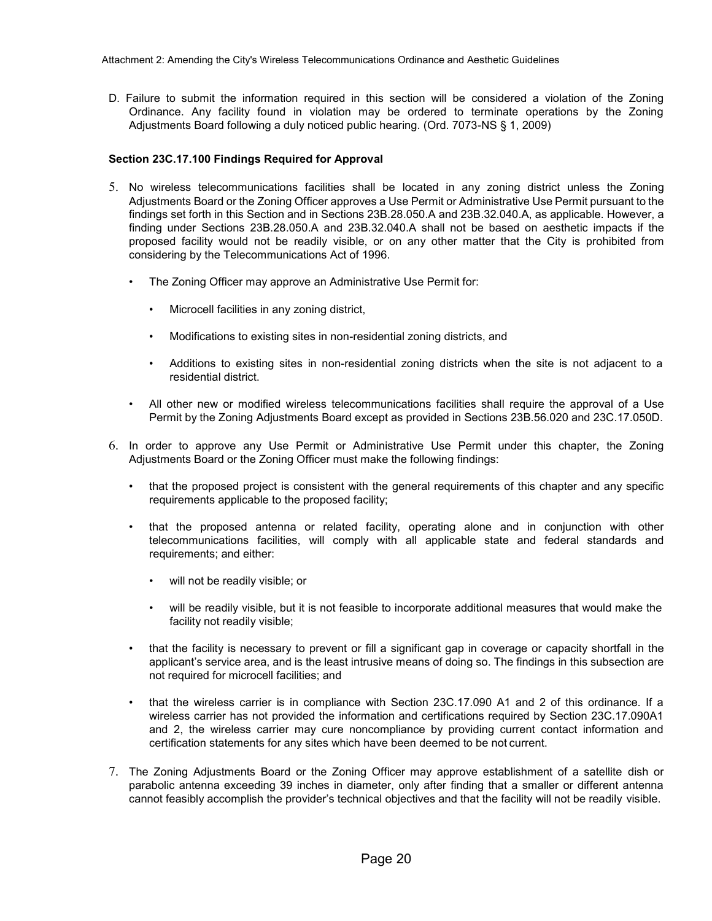D. Failure to submit the information required in this section will be considered a violation of the Zoning Ordinance. Any facility found in violation may be ordered to terminate operations by the Zoning Adjustments Board following a duly noticed public hearing. (Ord. 7073-NS § 1, 2009)

#### **Section 23C.17.100 Findings Required for Approval**

- 5. No wireless telecommunications facilities shall be located in any zoning district unless the Zoning Adjustments Board or the Zoning Officer approves a Use Permit or Administrative Use Permit pursuant to the findings set forth in this Section and in Sections 23B.28.050.A and 23B.32.040.A, as applicable. However, a finding under Sections 23B.28.050.A and 23B.32.040.A shall not be based on aesthetic impacts if the proposed facility would not be readily visible, or on any other matter that the City is prohibited from considering by the Telecommunications Act of 1996.
	- The Zoning Officer may approve an Administrative Use Permit for:
		- Microcell facilities in any zoning district,
		- Modifications to existing sites in non-residential zoning districts, and
		- Additions to existing sites in non-residential zoning districts when the site is not adjacent to a residential district.
	- All other new or modified wireless telecommunications facilities shall require the approval of a Use Permit by the Zoning Adjustments Board except as provided in Sections 23B.56.020 and 23C.17.050D.
- 6. In order to approve any Use Permit or Administrative Use Permit under this chapter, the Zoning Adjustments Board or the Zoning Officer must make the following findings:
	- that the proposed project is consistent with the general requirements of this chapter and any specific requirements applicable to the proposed facility;
	- that the proposed antenna or related facility, operating alone and in conjunction with other telecommunications facilities, will comply with all applicable state and federal standards and requirements; and either:
		- will not be readily visible; or
		- will be readily visible, but it is not feasible to incorporate additional measures that would make the facility not readily visible;
	- that the facility is necessary to prevent or fill a significant gap in coverage or capacity shortfall in the applicant's service area, and is the least intrusive means of doing so. The findings in this subsection are not required for microcell facilities; and
	- that the wireless carrier is in compliance with Section 23C.17.090 A1 and 2 of this ordinance. If a wireless carrier has not provided the information and certifications required by Section 23C.17.090A1 and 2, the wireless carrier may cure noncompliance by providing current contact information and certification statements for any sites which have been deemed to be not current.
- 7. The Zoning Adjustments Board or the Zoning Officer may approve establishment of a satellite dish or parabolic antenna exceeding 39 inches in diameter, only after finding that a smaller or different antenna cannot feasibly accomplish the provider's technical objectives and that the facility will not be readily visible.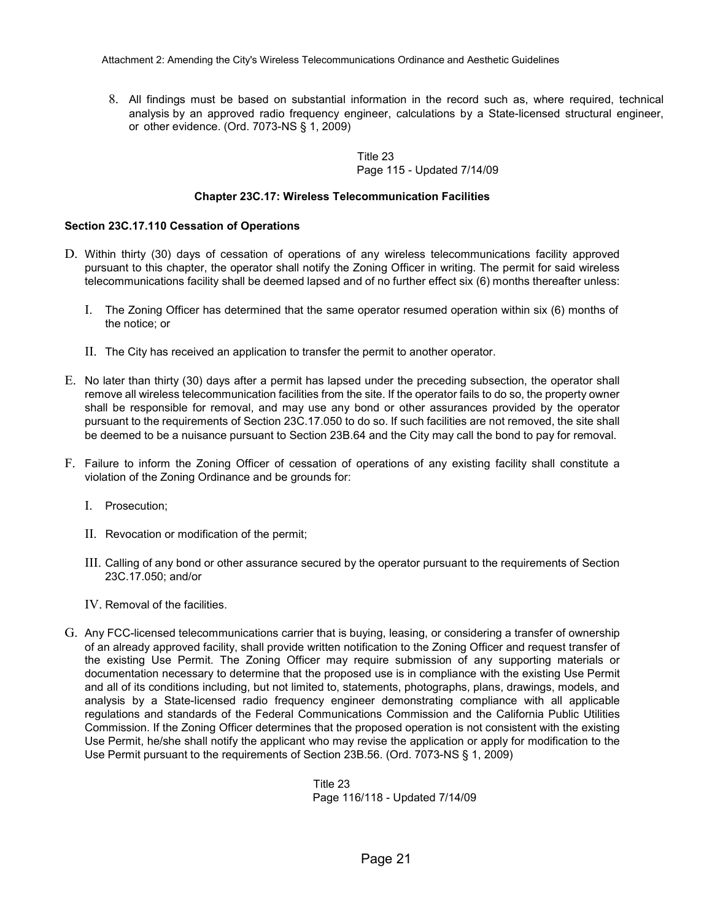8. All findings must be based on substantial information in the record such as, where required, technical analysis by an approved radio frequency engineer, calculations by a State-licensed structural engineer, or other evidence. (Ord. 7073-NS § 1, 2009)

> Title 23 Page 115 - Updated 7/14/09

#### **Chapter 23C.17: Wireless Telecommunication Facilities**

#### **Section 23C.17.110 Cessation of Operations**

- D. Within thirty (30) days of cessation of operations of any wireless telecommunications facility approved pursuant to this chapter, the operator shall notify the Zoning Officer in writing. The permit for said wireless telecommunications facility shall be deemed lapsed and of no further effect six (6) months thereafter unless:
	- I. The Zoning Officer has determined that the same operator resumed operation within six (6) months of the notice; or
	- II. The City has received an application to transfer the permit to another operator.
- E. No later than thirty (30) days after a permit has lapsed under the preceding subsection, the operator shall remove all wireless telecommunication facilities from the site. If the operator fails to do so, the property owner shall be responsible for removal, and may use any bond or other assurances provided by the operator pursuant to the requirements of Section 23C.17.050 to do so. If such facilities are not removed, the site shall be deemed to be a nuisance pursuant to Section 23B.64 and the City may call the bond to pay for removal.
- F. Failure to inform the Zoning Officer of cessation of operations of any existing facility shall constitute a violation of the Zoning Ordinance and be grounds for:
	- I. Prosecution;
	- II. Revocation or modification of the permit;
	- III. Calling of any bond or other assurance secured by the operator pursuant to the requirements of Section 23C.17.050; and/or
	- IV. Removal of the facilities.
- G. Any FCC-licensed telecommunications carrier that is buying, leasing, or considering a transfer of ownership of an already approved facility, shall provide written notification to the Zoning Officer and request transfer of the existing Use Permit. The Zoning Officer may require submission of any supporting materials or documentation necessary to determine that the proposed use is in compliance with the existing Use Permit and all of its conditions including, but not limited to, statements, photographs, plans, drawings, models, and analysis by a State-licensed radio frequency engineer demonstrating compliance with all applicable regulations and standards of the Federal Communications Commission and the California Public Utilities Commission. If the Zoning Officer determines that the proposed operation is not consistent with the existing Use Permit, he/she shall notify the applicant who may revise the application or apply for modification to the Use Permit pursuant to the requirements of Section 23B.56. (Ord. 7073-NS § 1, 2009)

Title 23 Page 116/118 - Updated 7/14/09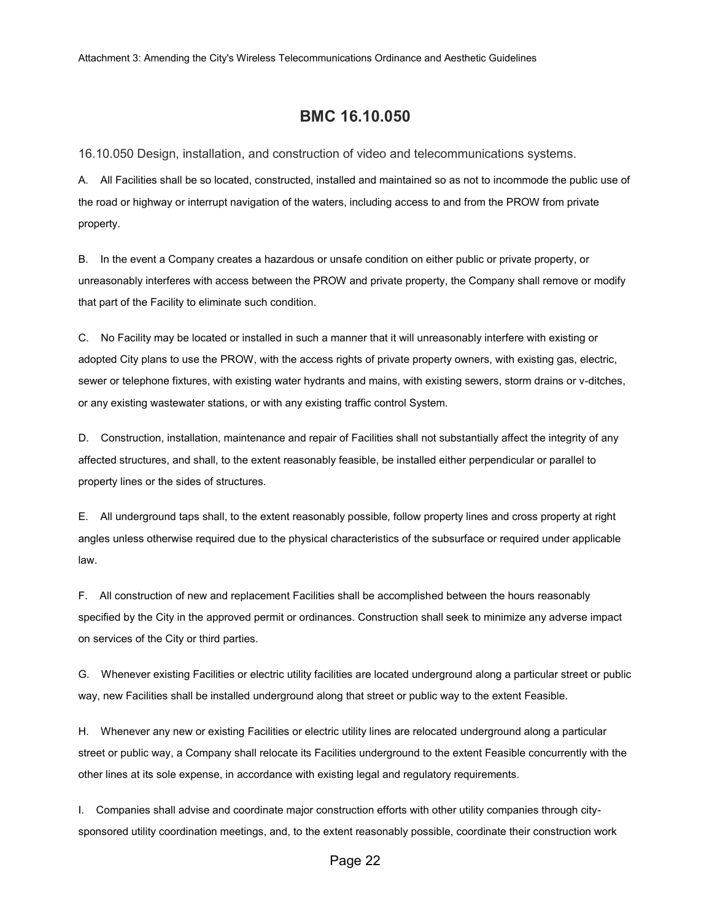# **BMC 16.10.050**

16.10.050 Design, installation, and construction of video and telecommunications systems.

A. All Facilities shall be so located, constructed, installed and maintained so as not to incommode the public use of the road or highway or interrupt navigation of the waters, including access to and from the PROW from private property.

B. In the event a Company creates a hazardous or unsafe condition on either public or private property, or unreasonably interferes with access between the PROW and private property, the Company shall remove or modify that part of the Facility to eliminate such condition.

C. No Facility may be located or installed in such a manner that it will unreasonably interfere with existing or adopted City plans to use the PROW, with the access rights of private property owners, with existing gas, electric, sewer or telephone fixtures, with existing water hydrants and mains, with existing sewers, storm drains or v-ditches, or any existing wastewater stations, or with any existing traffic control System.

D. Construction, installation, maintenance and repair of Facilities shall not substantially affect the integrity of any affected structures, and shall, to the extent reasonably feasible, be installed either perpendicular or parallel to property lines or the sides of structures.

E. All underground taps shall, to the extent reasonably possible, follow property lines and cross property at right angles unless otherwise required due to the physical characteristics of the subsurface or required under applicable law.

F. All construction of new and replacement Facilities shall be accomplished between the hours reasonably specified by the City in the approved permit or ordinances. Construction shall seek to minimize any adverse impact on services of the City or third parties.

G. Whenever existing Facilities or electric utility facilities are located underground along a particular street or public way, new Facilities shall be installed underground along that street or public way to the extent Feasible.

H. Whenever any new or existing Facilities or electric utility lines are relocated underground along a particular street or public way, a Company shall relocate its Facilities underground to the extent Feasible concurrently with the other lines at its sole expense, in accordance with existing legal and regulatory requirements.

I. Companies shall advise and coordinate major construction efforts with other utility companies through citysponsored utility coordination meetings, and, to the extent reasonably possible, coordinate their construction work